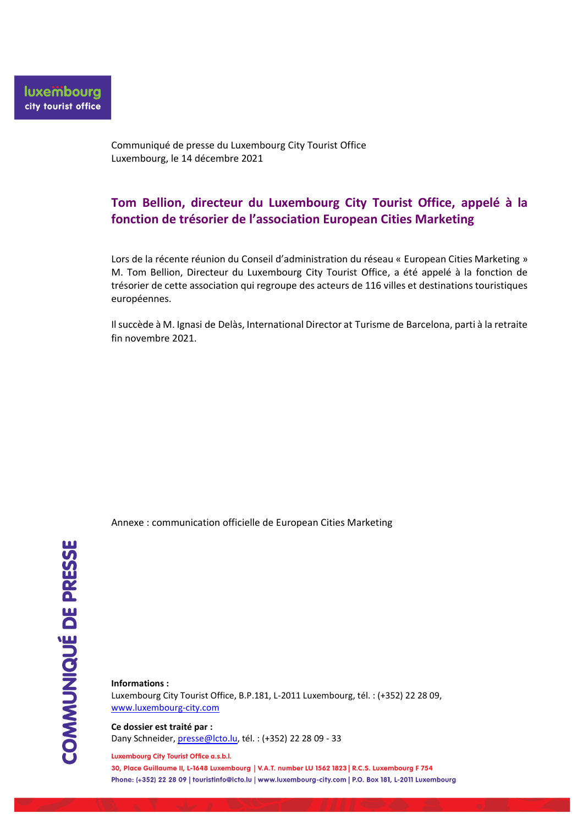Communiqué de presse du Luxembourg City Tourist Office Luxembourg, le 14 décembre 2021

## **Tom Bellion, directeur du Luxembourg City Tourist Office, appelé à la fonction de trésorier de l'association European Cities Marketing**

Lors de la récente réunion du Conseil d'administration du réseau « European Cities Marketing » M. Tom Bellion, Directeur du Luxembourg City Tourist Office, a été appelé à la fonction de trésorier de cette association qui regroupe des acteurs de 116 villes et destinations touristiques européennes.

Il succède à M. Ignasi de Delàs, International Director at Turisme de Barcelona, parti à la retraite fin novembre 2021.

Annexe : communication officielle de European Cities Marketing

**Informations :** Luxembourg City Tourist Office, B.P.181, L-2011 Luxembourg, tél. : (+352) 22 28 09, [www.luxembourg-city.com](http://www.luxembourg-city.com/)

**Ce dossier est traité par :** Dany Schneider[, presse@lcto.lu,](mailto:presse@lcto.lu) tél. : (+352) 22 28 09 - 33

#### Luxembourg City Tourist Office a.s.b.l.

30, Place Guillaume II, L-1648 Luxembourg | V.A.T. number LU 1562 1823 | R.C.S. Luxembourg F 754 Phone: (+352) 22 28 09 | touristinfo@lcto.lu | www.luxembourg-city.com | P.O. Box 181, L-2011 Luxembourg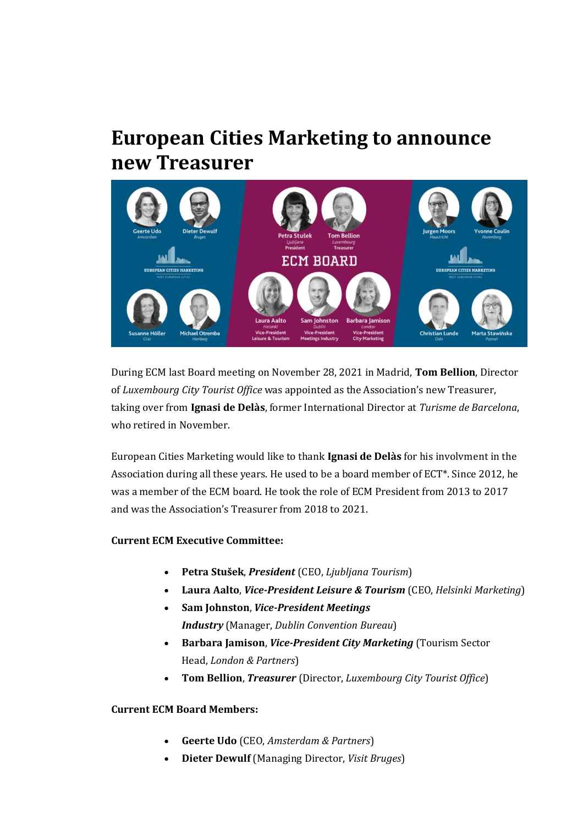# **European Cities Marketing to announce new Treasurer**



During ECM last Board meeting on November 28, 2021 in Madrid, **Tom Bellion**, Director of *Luxembourg City Tourist Office* was appointed as the Association's new Treasurer, taking over from **Ignasi de Delàs**, former International Director at *Turisme de Barcelona*, who retired in November.

European Cities Marketing would like to thank **Ignasi de Delàs** for his involvment in the Association during all these years. He used to be a board member of ECT\*. Since 2012, he was a member of the ECM board. He took the role of ECM President from 2013 to 2017 and was the Association's Treasurer from 2018 to 2021.

### **Current ECM Executive Committee:**

- **Petra Stušek**, *President* (CEO, *Ljubljana Tourism*)
- **Laura Aalto**, *Vice-President Leisure & Tourism* (CEO, *Helsinki Marketing*)
- **Sam Johnston**, *Vice-President Meetings Industry* (Manager, *Dublin Convention Bureau*)
- **Barbara Jamison**, *Vice-President City Marketing* (Tourism Sector Head, *London & Partners*)
- **Tom Bellion**, *Treasurer* (Director, *Luxembourg City Tourist Office*)

### **Current ECM Board Members:**

- **Geerte Udo** (CEO, *Amsterdam & Partners*)
- **Dieter Dewulf** (Managing Director, *Visit Bruges*)